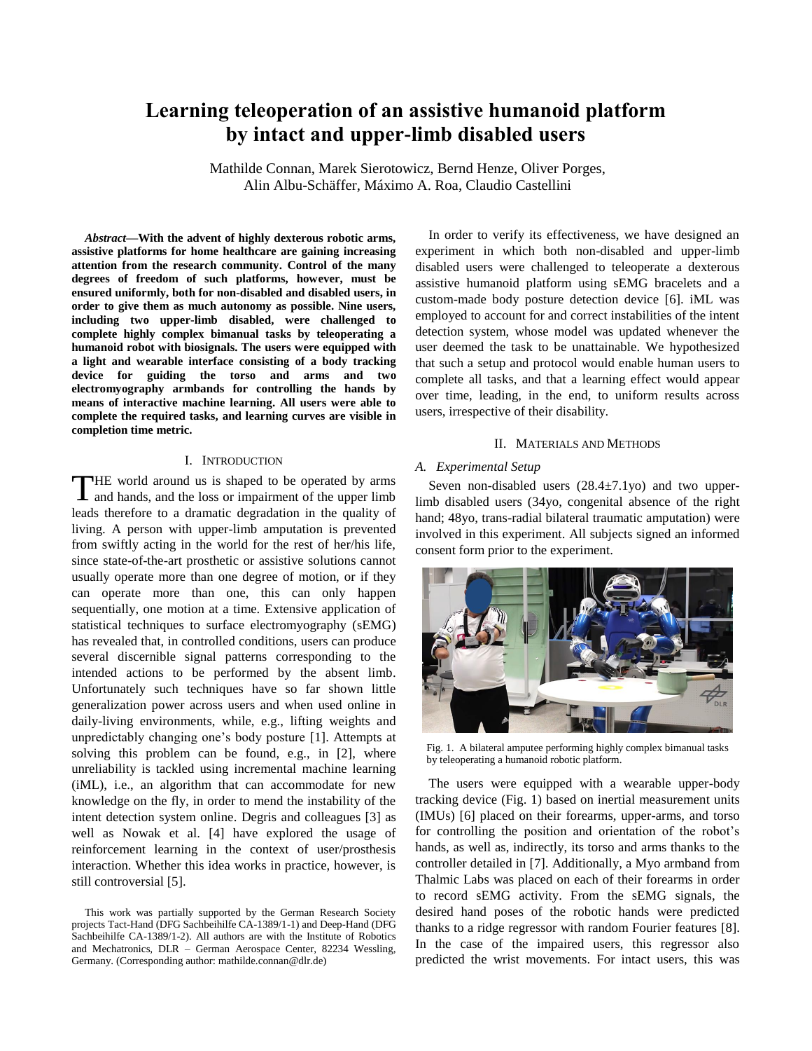# **Learning teleoperation of an assistive humanoid platform by intact and upper-limb disabled users**

Mathilde Connan, Marek Sierotowicz, Bernd Henze, Oliver Porges, Alin Albu-Schäffer, Máximo A. Roa, Claudio Castellini

*Abstract***—With the advent of highly dexterous robotic arms, assistive platforms for home healthcare are gaining increasing attention from the research community. Control of the many degrees of freedom of such platforms, however, must be ensured uniformly, both for non-disabled and disabled users, in order to give them as much autonomy as possible. Nine users, including two upper-limb disabled, were challenged to complete highly complex bimanual tasks by teleoperating a humanoid robot with biosignals. The users were equipped with a light and wearable interface consisting of a body tracking device for guiding the torso and arms and two electromyography armbands for controlling the hands by means of interactive machine learning. All users were able to complete the required tasks, and learning curves are visible in completion time metric.**

# I. INTRODUCTION

**THE** world around us is shaped to be operated by arms THE world around us is shaped to be operated by arms and hands, and the loss or impairment of the upper limb leads therefore to a dramatic degradation in the quality of living. A person with upper-limb amputation is prevented from swiftly acting in the world for the rest of her/his life, since state-of-the-art prosthetic or assistive solutions cannot usually operate more than one degree of motion, or if they can operate more than one, this can only happen sequentially, one motion at a time. Extensive application of statistical techniques to surface electromyography (sEMG) has revealed that, in controlled conditions, users can produce several discernible signal patterns corresponding to the intended actions to be performed by the absent limb. Unfortunately such techniques have so far shown little generalization power across users and when used online in daily-living environments, while, e.g., lifting weights and unpredictably changing one's body posture [1]. Attempts at solving this problem can be found, e.g., in [2], where unreliability is tackled using incremental machine learning (iML), i.e., an algorithm that can accommodate for new knowledge on the fly, in order to mend the instability of the intent detection system online. Degris and colleagues [3] as well as Nowak et al. [4] have explored the usage of reinforcement learning in the context of user/prosthesis interaction. Whether this idea works in practice, however, is still controversial [5].

In order to verify its effectiveness, we have designed an experiment in which both non-disabled and upper-limb disabled users were challenged to teleoperate a dexterous assistive humanoid platform using sEMG bracelets and a custom-made body posture detection device [6]. iML was employed to account for and correct instabilities of the intent detection system, whose model was updated whenever the user deemed the task to be unattainable. We hypothesized that such a setup and protocol would enable human users to complete all tasks, and that a learning effect would appear over time, leading, in the end, to uniform results across users, irrespective of their disability.

### II. MATERIALS AND METHODS

### *A. Experimental Setup*

Seven non-disabled users  $(28.4 \pm 7.1 \text{yo})$  and two upperlimb disabled users (34yo, congenital absence of the right hand; 48yo, trans-radial bilateral traumatic amputation) were involved in this experiment. All subjects signed an informed consent form prior to the experiment.



Fig. 1. A bilateral amputee performing highly complex bimanual tasks by teleoperating a humanoid robotic platform.

The users were equipped with a wearable upper-body tracking device (Fig. 1) based on inertial measurement units (IMUs) [6] placed on their forearms, upper-arms, and torso for controlling the position and orientation of the robot's hands, as well as, indirectly, its torso and arms thanks to the controller detailed in [7]. Additionally, a Myo armband from Thalmic Labs was placed on each of their forearms in order to record sEMG activity. From the sEMG signals, the desired hand poses of the robotic hands were predicted thanks to a ridge regressor with random Fourier features [8]. In the case of the impaired users, this regressor also predicted the wrist movements. For intact users, this was

This work was partially supported by the German Research Society projects Tact-Hand (DFG Sachbeihilfe CA-1389/1-1) and Deep-Hand (DFG Sachbeihilfe CA-1389/1-2). All authors are with the Institute of Robotics and Mechatronics, DLR – German Aerospace Center, 82234 Wessling, Germany. (Corresponding author: mathilde.connan@dlr.de)